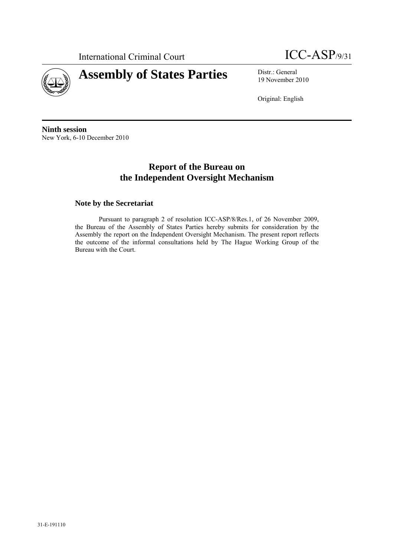



19 November 2010

Original: English

**Ninth session**  New York, 6-10 December 2010

# **Report of the Bureau on the Independent Oversight Mechanism**

### **Note by the Secretariat**

Pursuant to paragraph 2 of resolution ICC-ASP/8/Res.1, of 26 November 2009, the Bureau of the Assembly of States Parties hereby submits for consideration by the Assembly the report on the Independent Oversight Mechanism. The present report reflects the outcome of the informal consultations held by The Hague Working Group of the Bureau with the Court.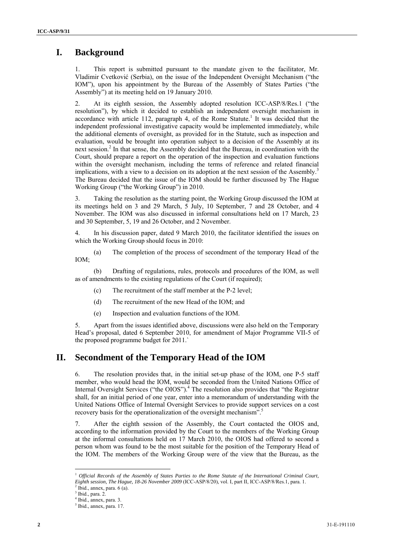# **I. Background**

1. This report is submitted pursuant to the mandate given to the facilitator, Mr. Vladimir Cvetković (Serbia), on the issue of the Independent Oversight Mechanism ("the IOM"), upon his appointment by the Bureau of the Assembly of States Parties ("the Assembly") at its meeting held on 19 January 2010.

2. At its eighth session, the Assembly adopted resolution ICC-ASP/8/Res.1 ("the resolution"), by which it decided to establish an independent oversight mechanism in accordance with article 112, paragraph 4, of the Rome Statute.<sup>1</sup> It was decided that the independent professional investigative capacity would be implemented immediately, while the additional elements of oversight, as provided for in the Statute, such as inspection and evaluation, would be brought into operation subject to a decision of the Assembly at its next session.<sup>2</sup> In that sense, the Assembly decided that the Bureau, in coordination with the Court, should prepare a report on the operation of the inspection and evaluation functions within the oversight mechanism, including the terms of reference and related financial implications, with a view to a decision on its adoption at the next session of the Assembly.<sup>3</sup> The Bureau decided that the issue of the IOM should be further discussed by The Hague Working Group ("the Working Group") in 2010.

3. Taking the resolution as the starting point, the Working Group discussed the IOM at its meetings held on 3 and 29 March, 5 July, 10 September, 7 and 28 October, and 4 November. The IOM was also discussed in informal consultations held on 17 March, 23 and 30 September, 5, 19 and 26 October, and 2 November.

4. In his discussion paper, dated 9 March 2010, the facilitator identified the issues on which the Working Group should focus in 2010:

(a) The completion of the process of secondment of the temporary Head of the IOM;

(b) Drafting of regulations, rules, protocols and procedures of the IOM, as well as of amendments to the existing regulations of the Court (if required);

- (c) The recruitment of the staff member at the P-2 level;
- (d) The recruitment of the new Head of the IOM; and
- (e) Inspection and evaluation functions of the IOM.

5. Apart from the issues identified above, discussions were also held on the Temporary Head's proposal, dated 6 September 2010, for amendment of Major Programme VII-5 of the proposed programme budget for 2011.`

## **II. Secondment of the Temporary Head of the IOM**

6. The resolution provides that, in the initial set-up phase of the IOM, one P-5 staff member, who would head the IOM, would be seconded from the United Nations Office of Internal Oversight Services ("the OIOS").<sup>4</sup> The resolution also provides that "the Registrar shall, for an initial period of one year, enter into a memorandum of understanding with the United Nations Office of Internal Oversight Services to provide support services on a cost recovery basis for the operationalization of the oversight mechanism".<sup>5</sup>

7. After the eighth session of the Assembly, the Court contacted the OIOS and, according to the information provided by the Court to the members of the Working Group at the informal consultations held on 17 March 2010, the OIOS had offered to second a person whom was found to be the most suitable for the position of the Temporary Head of the IOM. The members of the Working Group were of the view that the Bureau, as the

<sup>1</sup> *Official Records of the Assembly of States Parties to the Rome Statute of the International Criminal Court, Eighth session, The Hague, 18-26 November 2009* (ICC-ASP/8/20), vol. I, part II, ICC-ASP/8/Res.1, para. 1. 2

Ibid., annex, para. 6 (a).

 $^{3}$  Ibid., para. 2.

Ibid., annex, para. 3.

 $<sup>5</sup>$  Ibid., annex, para. 17.</sup>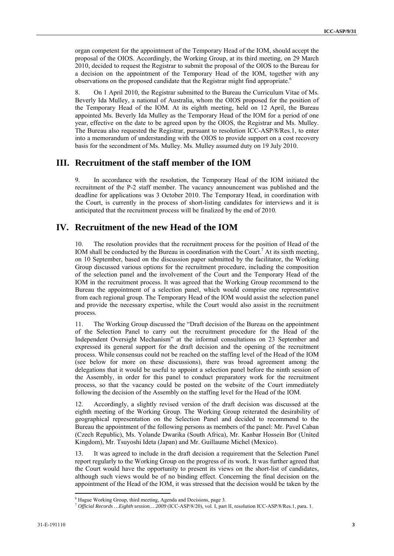organ competent for the appointment of the Temporary Head of the IOM, should accept the proposal of the OIOS. Accordingly, the Working Group, at its third meeting, on 29 March 2010, decided to request the Registrar to submit the proposal of the OIOS to the Bureau for a decision on the appointment of the Temporary Head of the IOM, together with any observations on the proposed candidate that the Registrar might find appropriate.<sup>6</sup>

8. On 1 April 2010, the Registrar submitted to the Bureau the Curriculum Vitae of Ms. Beverly Ida Mulley, a national of Australia, whom the OIOS proposed for the position of the Temporary Head of the IOM. At its eighth meeting, held on 12 April, the Bureau appointed Ms. Beverly Ida Mulley as the Temporary Head of the IOM for a period of one year, effective on the date to be agreed upon by the OIOS, the Registrar and Ms. Mulley. The Bureau also requested the Registrar, pursuant to resolution ICC-ASP/8/Res.1, to enter into a memorandum of understanding with the OIOS to provide support on a cost recovery basis for the secondment of Ms. Mulley. Ms. Mulley assumed duty on 19 July 2010.

#### **III. Recruitment of the staff member of the IOM**

9. In accordance with the resolution, the Temporary Head of the IOM initiated the recruitment of the P-2 staff member. The vacancy announcement was published and the deadline for applications was 3 October 2010. The Temporary Head, in coordination with the Court, is currently in the process of short-listing candidates for interviews and it is anticipated that the recruitment process will be finalized by the end of 2010.

### **IV. Recruitment of the new Head of the IOM**

10. The resolution provides that the recruitment process for the position of Head of the IOM shall be conducted by the Bureau in coordination with the Court.<sup>7</sup> At its sixth meeting, on 10 September, based on the discussion paper submitted by the facilitator, the Working Group discussed various options for the recruitment procedure, including the composition of the selection panel and the involvement of the Court and the Temporary Head of the IOM in the recruitment process. It was agreed that the Working Group recommend to the Bureau the appointment of a selection panel, which would comprise one representative from each regional group. The Temporary Head of the IOM would assist the selection panel and provide the necessary expertise, while the Court would also assist in the recruitment process.

11. The Working Group discussed the "Draft decision of the Bureau on the appointment of the Selection Panel to carry out the recruitment procedure for the Head of the Independent Oversight Mechanism" at the informal consultations on 23 September and expressed its general support for the draft decision and the opening of the recruitment process. While consensus could not be reached on the staffing level of the Head of the IOM (see below for more on these discussions), there was broad agreement among the delegations that it would be useful to appoint a selection panel before the ninth session of the Assembly, in order for this panel to conduct preparatory work for the recruitment process, so that the vacancy could be posted on the website of the Court immediately following the decision of the Assembly on the staffing level for the Head of the IOM.

12. Accordingly, a slightly revised version of the draft decision was discussed at the eighth meeting of the Working Group. The Working Group reiterated the desirability of geographical representation on the Selection Panel and decided to recommend to the Bureau the appointment of the following persons as members of the panel: Mr. Pavel Caban (Czech Republic), Ms. Yolande Dwarika (South Africa), Mr. Kanbar Hossein Bor (United Kingdom), Mr. Tsuyoshi Ideta (Japan) and Mr. Guillaume Michel (Mexico).

13. It was agreed to include in the draft decision a requirement that the Selection Panel report regularly to the Working Group on the progress of its work. It was further agreed that the Court would have the opportunity to present its views on the short-list of candidates, although such views would be of no binding effect. Concerning the final decision on the appointment of the Head of the IOM, it was stressed that the decision would be taken by the

<sup>&</sup>lt;sup>6</sup> Hague Working Group, third meeting, Agenda and Decisions, page 3.

<sup>&</sup>lt;sup>7</sup> Official Records …Eighth session… 2009 (ICC-ASP/8/20), vol. I, part II, resolution ICC-ASP/8/Res.1, para. 1.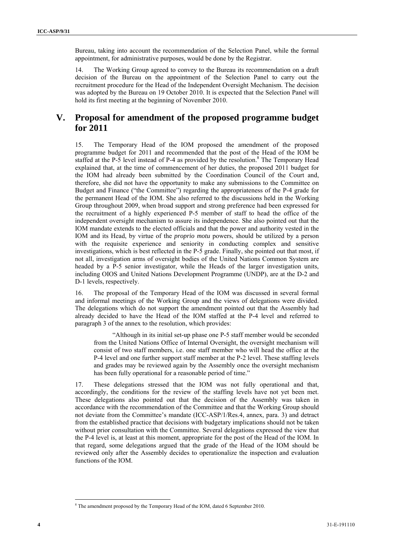Bureau, taking into account the recommendation of the Selection Panel, while the formal appointment, for administrative purposes, would be done by the Registrar.

14. The Working Group agreed to convey to the Bureau its recommendation on a draft decision of the Bureau on the appointment of the Selection Panel to carry out the recruitment procedure for the Head of the Independent Oversight Mechanism. The decision was adopted by the Bureau on 19 October 2010. It is expected that the Selection Panel will hold its first meeting at the beginning of November 2010.

# **V. Proposal for amendment of the proposed programme budget for 2011**

15. The Temporary Head of the IOM proposed the amendment of the proposed programme budget for 2011 and recommended that the post of the Head of the IOM be staffed at the P-5 level instead of P-4 as provided by the resolution.<sup>8</sup> The Temporary Head explained that, at the time of commencement of her duties, the proposed 2011 budget for the IOM had already been submitted by the Coordination Council of the Court and, therefore, she did not have the opportunity to make any submissions to the Committee on Budget and Finance ("the Committee") regarding the appropriateness of the P-4 grade for the permanent Head of the IOM. She also referred to the discussions held in the Working Group throughout 2009, when broad support and strong preference had been expressed for the recruitment of a highly experienced P-5 member of staff to head the office of the independent oversight mechanism to assure its independence. She also pointed out that the IOM mandate extends to the elected officials and that the power and authority vested in the IOM and its Head, by virtue of the *proprio motu* powers, should be utilized by a person with the requisite experience and seniority in conducting complex and sensitive investigations, which is best reflected in the P-5 grade. Finally, she pointed out that most, if not all, investigation arms of oversight bodies of the United Nations Common System are headed by a P-5 senior investigator, while the Heads of the larger investigation units, including OIOS and United Nations Development Programme (UNDP), are at the D-2 and D-1 levels, respectively.

16. The proposal of the Temporary Head of the IOM was discussed in several formal and informal meetings of the Working Group and the views of delegations were divided. The delegations which do not support the amendment pointed out that the Assembly had already decided to have the Head of the IOM staffed at the P-4 level and referred to paragraph 3 of the annex to the resolution, which provides:

"Although in its initial set-up phase one P-5 staff member would be seconded from the United Nations Office of Internal Oversight, the oversight mechanism will consist of two staff members, i.e. one staff member who will head the office at the P-4 level and one further support staff member at the P-2 level. These staffing levels and grades may be reviewed again by the Assembly once the oversight mechanism has been fully operational for a reasonable period of time."

17. These delegations stressed that the IOM was not fully operational and that, accordingly, the conditions for the review of the staffing levels have not yet been met. These delegations also pointed out that the decision of the Assembly was taken in accordance with the recommendation of the Committee and that the Working Group should not deviate from the Committee's mandate (ICC-ASP/1/Res.4, annex, para. 3) and detract from the established practice that decisions with budgetary implications should not be taken without prior consultation with the Committee. Several delegations expressed the view that the P-4 level is, at least at this moment, appropriate for the post of the Head of the IOM. In that regard, some delegations argued that the grade of the Head of the IOM should be reviewed only after the Assembly decides to operationalize the inspection and evaluation functions of the IOM.

<sup>&</sup>lt;sup>8</sup> The amendment proposed by the Temporary Head of the IOM, dated 6 September 2010.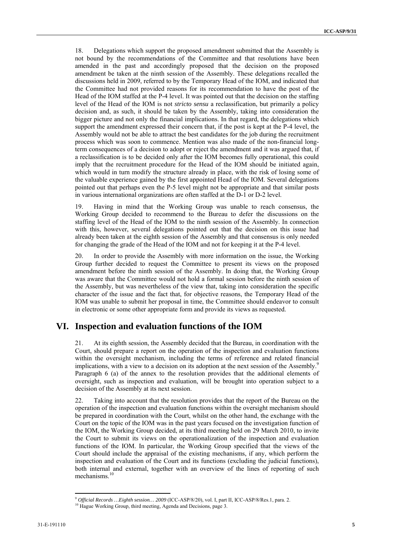18. Delegations which support the proposed amendment submitted that the Assembly is not bound by the recommendations of the Committee and that resolutions have been amended in the past and accordingly proposed that the decision on the proposed amendment be taken at the ninth session of the Assembly. These delegations recalled the discussions held in 2009, referred to by the Temporary Head of the IOM, and indicated that the Committee had not provided reasons for its recommendation to have the post of the Head of the IOM staffed at the P-4 level. It was pointed out that the decision on the staffing level of the Head of the IOM is not *stricto sensu* a reclassification, but primarily a policy decision and, as such, it should be taken by the Assembly, taking into consideration the bigger picture and not only the financial implications. In that regard, the delegations which support the amendment expressed their concern that, if the post is kept at the P-4 level, the Assembly would not be able to attract the best candidates for the job during the recruitment process which was soon to commence. Mention was also made of the non-financial longterm consequences of a decision to adopt or reject the amendment and it was argued that, if a reclassification is to be decided only after the IOM becomes fully operational, this could imply that the recruitment procedure for the Head of the IOM should be initiated again, which would in turn modify the structure already in place, with the risk of losing some of the valuable experience gained by the first appointed Head of the IOM. Several delegations pointed out that perhaps even the P-5 level might not be appropriate and that similar posts in various international organizations are often staffed at the D-1 or D-2 level.

19. Having in mind that the Working Group was unable to reach consensus, the Working Group decided to recommend to the Bureau to defer the discussions on the staffing level of the Head of the IOM to the ninth session of the Assembly. In connection with this, however, several delegations pointed out that the decision on this issue had already been taken at the eighth session of the Assembly and that consensus is only needed for changing the grade of the Head of the IOM and not for keeping it at the P-4 level.

20. In order to provide the Assembly with more information on the issue, the Working Group further decided to request the Committee to present its views on the proposed amendment before the ninth session of the Assembly. In doing that, the Working Group was aware that the Committee would not hold a formal session before the ninth session of the Assembly, but was nevertheless of the view that, taking into consideration the specific character of the issue and the fact that, for objective reasons, the Temporary Head of the IOM was unable to submit her proposal in time, the Committee should endeavor to consult in electronic or some other appropriate form and provide its views as requested.

### **VI. Inspection and evaluation functions of the IOM**

21. At its eighth session, the Assembly decided that the Bureau, in coordination with the Court, should prepare a report on the operation of the inspection and evaluation functions within the oversight mechanism, including the terms of reference and related financial implications, with a view to a decision on its adoption at the next session of the Assembly.<sup>9</sup> Paragraph 6 (a) of the annex to the resolution provides that the additional elements of oversight, such as inspection and evaluation, will be brought into operation subject to a decision of the Assembly at its next session.

22. Taking into account that the resolution provides that the report of the Bureau on the operation of the inspection and evaluation functions within the oversight mechanism should be prepared in coordination with the Court, whilst on the other hand, the exchange with the Court on the topic of the IOM was in the past years focused on the investigation function of the IOM, the Working Group decided, at its third meeting held on 29 March 2010, to invite the Court to submit its views on the operationalization of the inspection and evaluation functions of the IOM. In particular, the Working Group specified that the views of the Court should include the appraisal of the existing mechanisms, if any, which perform the inspection and evaluation of the Court and its functions (excluding the judicial functions), both internal and external, together with an overview of the lines of reporting of such mechanisms.<sup>10</sup>

<sup>&</sup>lt;sup>9</sup> *Official Records …Eighth session… 2009* (ICC-ASP/8/20), vol. I, part II, ICC-ASP/8/Res.1, para. 2. <sup>10</sup> Hague Working Group, third meeting, Agenda and Decisions, page 3.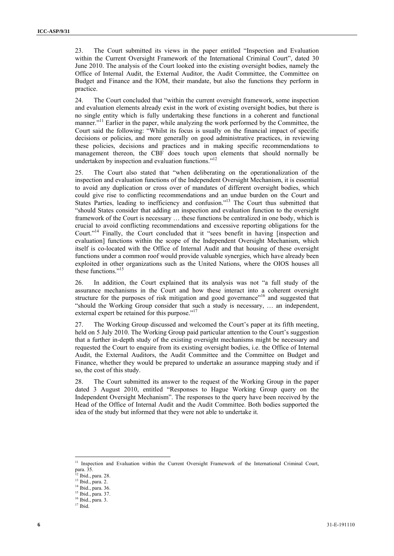23. The Court submitted its views in the paper entitled "Inspection and Evaluation within the Current Oversight Framework of the International Criminal Court", dated 30 June 2010. The analysis of the Court looked into the existing oversight bodies, namely the Office of Internal Audit, the External Auditor, the Audit Committee, the Committee on Budget and Finance and the IOM, their mandate, but also the functions they perform in practice.

24. The Court concluded that "within the current oversight framework, some inspection and evaluation elements already exist in the work of existing oversight bodies, but there is no single entity which is fully undertaking these functions in a coherent and functional manner."<sup>11</sup> Earlier in the paper, while analyzing the work performed by the Committee, the Court said the following: "Whilst its focus is usually on the financial impact of specific decisions or policies, and more generally on good administrative practices, in reviewing these policies, decisions and practices and in making specific recommendations to management thereon, the CBF does touch upon elements that should normally be undertaken by inspection and evaluation functions."12

25. The Court also stated that "when deliberating on the operationalization of the inspection and evaluation functions of the Independent Oversight Mechanism, it is essential to avoid any duplication or cross over of mandates of different oversight bodies, which could give rise to conflicting recommendations and an undue burden on the Court and States Parties, leading to inefficiency and confusion."<sup>13</sup> The Court thus submitted that "should States consider that adding an inspection and evaluation function to the oversight framework of the Court is necessary … these functions be centralized in one body, which is crucial to avoid conflicting recommendations and excessive reporting obligations for the Court."14 Finally, the Court concluded that it "sees benefit in having [inspection and evaluation] functions within the scope of the Independent Oversight Mechanism, which itself is co-located with the Office of Internal Audit and that housing of these oversight functions under a common roof would provide valuable synergies, which have already been exploited in other organizations such as the United Nations, where the OIOS houses all these functions."<sup>15</sup>

26. In addition, the Court explained that its analysis was not "a full study of the assurance mechanisms in the Court and how these interact into a coherent oversight structure for the purposes of risk mitigation and good governance"<sup>16</sup> and suggested that "should the Working Group consider that such a study is necessary, … an independent, external expert be retained for this purpose."

27. The Working Group discussed and welcomed the Court's paper at its fifth meeting, held on 5 July 2010. The Working Group paid particular attention to the Court's suggestion that a further in-depth study of the existing oversight mechanisms might be necessary and requested the Court to enquire from its existing oversight bodies, i.e. the Office of Internal Audit, the External Auditors, the Audit Committee and the Committee on Budget and Finance, whether they would be prepared to undertake an assurance mapping study and if so, the cost of this study.

28. The Court submitted its answer to the request of the Working Group in the paper dated 3 August 2010, entitled "Responses to Hague Working Group query on the Independent Oversight Mechanism". The responses to the query have been received by the Head of the Office of Internal Audit and the Audit Committee. Both bodies supported the idea of the study but informed that they were not able to undertake it.

 $\overline{11}$ 11 Inspection and Evaluation within the Current Oversight Framework of the International Criminal Court, para. 35.

<sup>12</sup> Ibid., para. 28.

<sup>13</sup> Ibid., para. 2.

<sup>14</sup> Ibid., para. 36.

<sup>15</sup> Ibid., para. 37.

<sup>16</sup> Ibid., para. 3.

 $17$  Ibid.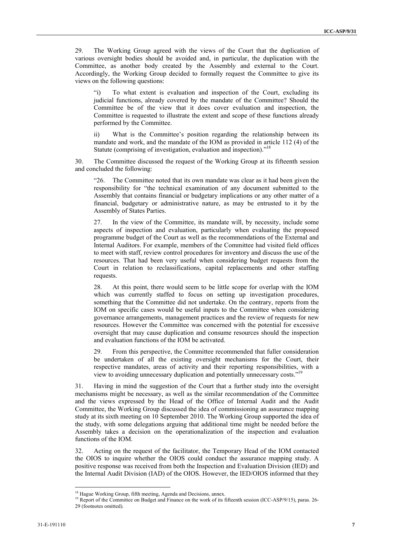29. The Working Group agreed with the views of the Court that the duplication of various oversight bodies should be avoided and, in particular, the duplication with the Committee, as another body created by the Assembly and external to the Court. Accordingly, the Working Group decided to formally request the Committee to give its views on the following questions:

"i) To what extent is evaluation and inspection of the Court, excluding its judicial functions, already covered by the mandate of the Committee? Should the Committee be of the view that it does cover evaluation and inspection, the Committee is requested to illustrate the extent and scope of these functions already performed by the Committee.

ii) What is the Committee's position regarding the relationship between its mandate and work, and the mandate of the IOM as provided in article 112 (4) of the Statute (comprising of investigation, evaluation and inspection)."18

30. The Committee discussed the request of the Working Group at its fifteenth session and concluded the following:

"26. The Committee noted that its own mandate was clear as it had been given the responsibility for "the technical examination of any document submitted to the Assembly that contains financial or budgetary implications or any other matter of a financial, budgetary or administrative nature, as may be entrusted to it by the Assembly of States Parties.

27. In the view of the Committee, its mandate will, by necessity, include some aspects of inspection and evaluation, particularly when evaluating the proposed programme budget of the Court as well as the recommendations of the External and Internal Auditors. For example, members of the Committee had visited field offices to meet with staff, review control procedures for inventory and discuss the use of the resources. That had been very useful when considering budget requests from the Court in relation to reclassifications, capital replacements and other staffing requests.

28. At this point, there would seem to be little scope for overlap with the IOM which was currently staffed to focus on setting up investigation procedures, something that the Committee did not undertake. On the contrary, reports from the IOM on specific cases would be useful inputs to the Committee when considering governance arrangements, management practices and the review of requests for new resources. However the Committee was concerned with the potential for excessive oversight that may cause duplication and consume resources should the inspection and evaluation functions of the IOM be activated.

29. From this perspective, the Committee recommended that fuller consideration be undertaken of all the existing oversight mechanisms for the Court, their respective mandates, areas of activity and their reporting responsibilities, with a view to avoiding unnecessary duplication and potentially unnecessary costs."

31. Having in mind the suggestion of the Court that a further study into the oversight mechanisms might be necessary, as well as the similar recommendation of the Committee and the views expressed by the Head of the Office of Internal Audit and the Audit Committee, the Working Group discussed the idea of commissioning an assurance mapping study at its sixth meeting on 10 September 2010. The Working Group supported the idea of the study, with some delegations arguing that additional time might be needed before the Assembly takes a decision on the operationalization of the inspection and evaluation functions of the IOM.

32. Acting on the request of the facilitator, the Temporary Head of the IOM contacted the OIOS to inquire whether the OIOS could conduct the assurance mapping study. A positive response was received from both the Inspection and Evaluation Division (IED) and the Internal Audit Division (IAD) of the OIOS. However, the IED/OIOS informed that they

<sup>&</sup>lt;sup>18</sup> Hague Working Group, fifth meeting, Agenda and Decisions, annex.<br><sup>19</sup> Report of the Committee on Budget and Finance on the work of its fifteenth session (ICC-ASP/9/15), paras. 26-29 (footnotes omitted).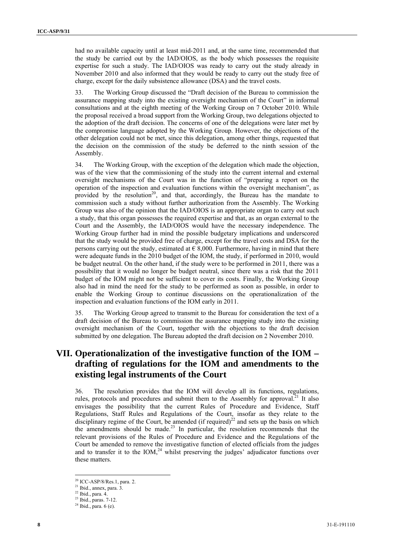had no available capacity until at least mid-2011 and, at the same time, recommended that the study be carried out by the IAD/OIOS, as the body which possesses the requisite expertise for such a study. The IAD/OIOS was ready to carry out the study already in November 2010 and also informed that they would be ready to carry out the study free of charge, except for the daily subsistence allowance (DSA) and the travel costs.

33. The Working Group discussed the "Draft decision of the Bureau to commission the assurance mapping study into the existing oversight mechanism of the Court" in informal consultations and at the eighth meeting of the Working Group on 7 October 2010. While the proposal received a broad support from the Working Group, two delegations objected to the adoption of the draft decision. The concerns of one of the delegations were later met by the compromise language adopted by the Working Group. However, the objections of the other delegation could not be met, since this delegation, among other things, requested that the decision on the commission of the study be deferred to the ninth session of the Assembly.

34. The Working Group, with the exception of the delegation which made the objection, was of the view that the commissioning of the study into the current internal and external oversight mechanisms of the Court was in the function of "preparing a report on the operation of the inspection and evaluation functions within the oversight mechanism", as provided by the resolution<sup>20</sup>, and that, accordingly, the Bureau has the mandate to commission such a study without further authorization from the Assembly. The Working Group was also of the opinion that the IAD/OIOS is an appropriate organ to carry out such a study, that this organ possesses the required expertise and that, as an organ external to the Court and the Assembly, the IAD/OIOS would have the necessary independence. The Working Group further had in mind the possible budgetary implications and underscored that the study would be provided free of charge, except for the travel costs and DSA for the persons carrying out the study, estimated at  $\epsilon$  8,000. Furthermore, having in mind that there were adequate funds in the 2010 budget of the IOM, the study, if performed in 2010, would be budget neutral. On the other hand, if the study were to be performed in 2011, there was a possibility that it would no longer be budget neutral, since there was a risk that the 2011 budget of the IOM might not be sufficient to cover its costs. Finally, the Working Group also had in mind the need for the study to be performed as soon as possible, in order to enable the Working Group to continue discussions on the operationalization of the inspection and evaluation functions of the IOM early in 2011.

35. The Working Group agreed to transmit to the Bureau for consideration the text of a draft decision of the Bureau to commission the assurance mapping study into the existing oversight mechanism of the Court, together with the objections to the draft decision submitted by one delegation. The Bureau adopted the draft decision on 2 November 2010.

# **VII. Operationalization of the investigative function of the IOM – drafting of regulations for the IOM and amendments to the existing legal instruments of the Court**

36. The resolution provides that the IOM will develop all its functions, regulations, rules, protocols and procedures and submit them to the Assembly for approval.<sup>21</sup> It also envisages the possibility that the current Rules of Procedure and Evidence, Staff Regulations, Staff Rules and Regulations of the Court, insofar as they relate to the disciplinary regime of the Court, be amended (if required)<sup>22</sup> and sets up the basis on which the amendments should be made.<sup>23</sup> In particular, the resolution recommends that the relevant provisions of the Rules of Procedure and Evidence and the Regulations of the Court be amended to remove the investigative function of elected officials from the judges and to transfer it to the IOM,  $24$  whilst preserving the judges' adjudicator functions over these matters.

 $20$  ICC-ASP/8/Res.1, para. 2.

 $^{21}$  Ibid., annex, para. 3.

<sup>22</sup> Ibid., para. 4.

<sup>23</sup> Ibid., paras. 7-12.

 $24$  Ibid., para. 6 (e).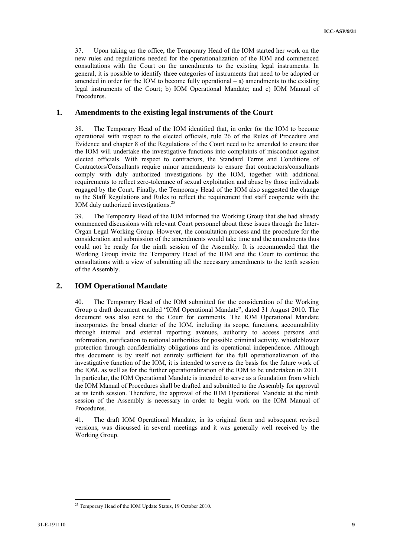37. Upon taking up the office, the Temporary Head of the IOM started her work on the new rules and regulations needed for the operationalization of the IOM and commenced consultations with the Court on the amendments to the existing legal instruments. In general, it is possible to identify three categories of instruments that need to be adopted or amended in order for the IOM to become fully operational – a) amendments to the existing legal instruments of the Court; b) IOM Operational Mandate; and c) IOM Manual of Procedures.

#### **1. Amendments to the existing legal instruments of the Court**

38. The Temporary Head of the IOM identified that, in order for the IOM to become operational with respect to the elected officials, rule 26 of the Rules of Procedure and Evidence and chapter 8 of the Regulations of the Court need to be amended to ensure that the IOM will undertake the investigative functions into complaints of misconduct against elected officials. With respect to contractors, the Standard Terms and Conditions of Contractors/Consultants require minor amendments to ensure that contractors/consultants comply with duly authorized investigations by the IOM, together with additional requirements to reflect zero-tolerance of sexual exploitation and abuse by those individuals engaged by the Court. Finally, the Temporary Head of the IOM also suggested the change to the Staff Regulations and Rules to reflect the requirement that staff cooperate with the IOM duly authorized investigations.<sup>25</sup>

39. The Temporary Head of the IOM informed the Working Group that she had already commenced discussions with relevant Court personnel about these issues through the Inter-Organ Legal Working Group. However, the consultation process and the procedure for the consideration and submission of the amendments would take time and the amendments thus could not be ready for the ninth session of the Assembly. It is recommended that the Working Group invite the Temporary Head of the IOM and the Court to continue the consultations with a view of submitting all the necessary amendments to the tenth session of the Assembly.

#### **2. IOM Operational Mandate**

40. The Temporary Head of the IOM submitted for the consideration of the Working Group a draft document entitled "IOM Operational Mandate", dated 31 August 2010. The document was also sent to the Court for comments. The IOM Operational Mandate incorporates the broad charter of the IOM, including its scope, functions, accountability through internal and external reporting avenues, authority to access persons and information, notification to national authorities for possible criminal activity, whistleblower protection through confidentiality obligations and its operational independence. Although this document is by itself not entirely sufficient for the full operationalization of the investigative function of the IOM, it is intended to serve as the basis for the future work of the IOM, as well as for the further operationalization of the IOM to be undertaken in 2011. In particular, the IOM Operational Mandate is intended to serve as a foundation from which the IOM Manual of Procedures shall be drafted and submitted to the Assembly for approval at its tenth session. Therefore, the approval of the IOM Operational Mandate at the ninth session of the Assembly is necessary in order to begin work on the IOM Manual of Procedures.

41. The draft IOM Operational Mandate, in its original form and subsequent revised versions, was discussed in several meetings and it was generally well received by the Working Group.

<sup>&</sup>lt;sup>25</sup> Temporary Head of the IOM Update Status, 19 October 2010.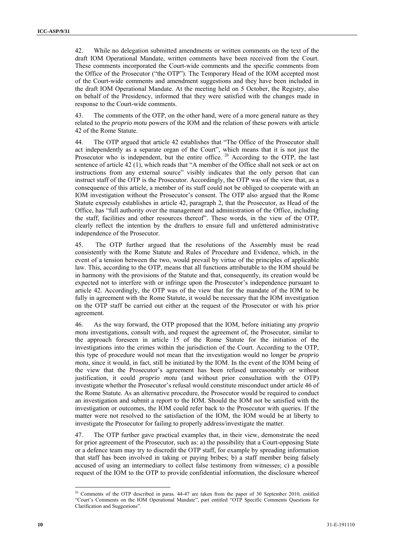42. While no delegation submitted amendments or written comments on the text of the draft IOM Operational Mandate, written comments have been received from the Court. These comments incorporated the Court-wide comments and the specific comments from the Office of the Prosecutor ("the OTP"). The Temporary Head of the IOM accepted most of the Court-wide comments and amendment suggestions and they have been included in the draft IOM Operational Mandate. At the meeting held on 5 October, the Registry, also on behalf of the Presidency, informed that they were satisfied with the changes made in response to the Court-wide comments.

43. The comments of the OTP, on the other hand, were of a more general nature as they related to the *proprio motu* powers of the IOM and the relation of these powers with article 42 of the Rome Statute.

44. The OTP argued that article 42 establishes that "The Office of the Prosecutor shall act independently as a separate organ of the Court", which means that it is not just the Prosecutor who is independent, but the entire office.  $^{26}$  According to the OTP, the last sentence of article 42 (1), which reads that "A member of the Office shall not seek or act on instructions from any external source" visibly indicates that the only person that can instruct staff of the OTP is the Prosecutor. Accordingly, the OTP was of the view that, as a consequence of this article, a member of its staff could not be obliged to cooperate with an IOM investigation without the Prosecutor's consent. The OTP also argued that the Rome Statute expressly establishes in article 42, paragraph 2, that the Prosecutor, as Head of the Office, has "full authority over the management and administration of the Office, including the staff, facilities and other resources thereof". These words, in the view of the OTP, clearly reflect the intention by the drafters to ensure full and unfettered administrative independence of the Prosecutor.

45. The OTP further argued that the resolutions of the Assembly must be read consistently with the Rome Statute and Rules of Procedure and Evidence, which, in the event of a tension between the two, would prevail by virtue of the principles of applicable law. This, according to the OTP, means that all functions attributable to the IOM should be in harmony with the provisions of the Statute and that, consequently, its creation would be expected not to interfere with or infringe upon the Prosecutor's independence pursuant to article 42. Accordingly, the OTP was of the view that for the mandate of the IOM to be fully in agreement with the Rome Statute, it would be necessary that the IOM investigation on the OTP staff be carried out either at the request of the Prosecutor or with his prior agreement.

46. As the way forward, the OTP proposed that the IOM, before initiating any *proprio motu* investigations, consult with, and request the agreement of, the Prosecutor, similar to the approach foreseen in article 15 of the Rome Statute for the initiation of the investigations into the crimes within the jurisdiction of the Court. According to the OTP, this type of procedure would not mean that the investigation would no longer be *proprio motu*, since it would, in fact, still be initiated by the IOM. In the event of the IOM being of the view that the Prosecutor's agreement has been refused unreasonably or without justification, it could *proprio motu* (and without prior consultation with the OTP) investigate whether the Prosecutor's refusal would constitute misconduct under article 46 of the Rome Statute. As an alternative procedure, the Prosecutor would be required to conduct an investigation and submit a report to the IOM. Should the IOM not be satisfied with the investigation or outcomes, the IOM could refer back to the Prosecutor with queries. If the matter were not resolved to the satisfaction of the IOM, the IOM would be at liberty to investigate the Prosecutor for failing to properly address/investigate the matter.

47. The OTP further gave practical examples that, in their view, demonstrate the need for prior agreement of the Prosecutor, such as: a) the possibility that a Court-opposing State or a defence team may try to discredit the OTP staff, for example by spreading information that staff has been involved in taking or paying bribes; b) a staff member being falsely accused of using an intermediary to collect false testimony from witnesses; c) a possible request of the IOM to the OTP to provide confidential information, the disclosure whereof

 $\overline{a}$ <sup>26</sup> Comments of the OTP described in paras. 44-47 are taken from the paper of 30 September 2010, entitled "Court's Comments on the IOM Operational Mandate", part entitled "OTP Specific Comments Questions for Clarification and Suggestions".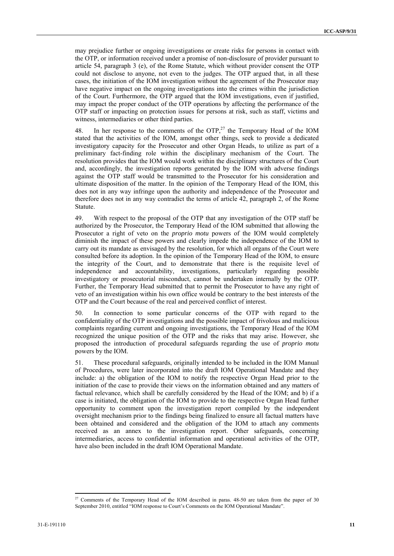may prejudice further or ongoing investigations or create risks for persons in contact with the OTP, or information received under a promise of non-disclosure of provider pursuant to article 54, paragraph 3 (e), of the Rome Statute, which without provider consent the OTP could not disclose to anyone, not even to the judges. The OTP argued that, in all these cases, the initiation of the IOM investigation without the agreement of the Prosecutor may have negative impact on the ongoing investigations into the crimes within the jurisdiction of the Court. Furthermore, the OTP argued that the IOM investigations, even if justified, may impact the proper conduct of the OTP operations by affecting the performance of the OTP staff or impacting on protection issues for persons at risk, such as staff, victims and witness, intermediaries or other third parties.

48. In her response to the comments of the  $\text{OTP}^{27}$ , the Temporary Head of the IOM stated that the activities of the IOM, amongst other things, seek to provide a dedicated investigatory capacity for the Prosecutor and other Organ Heads, to utilize as part of a preliminary fact-finding role within the disciplinary mechanism of the Court. The resolution provides that the IOM would work within the disciplinary structures of the Court and, accordingly, the investigation reports generated by the IOM with adverse findings against the OTP staff would be transmitted to the Prosecutor for his consideration and ultimate disposition of the matter. In the opinion of the Temporary Head of the IOM, this does not in any way infringe upon the authority and independence of the Prosecutor and therefore does not in any way contradict the terms of article 42, paragraph 2, of the Rome Statute.

49. With respect to the proposal of the OTP that any investigation of the OTP staff be authorized by the Prosecutor, the Temporary Head of the IOM submitted that allowing the Prosecutor a right of veto on the *proprio motu* powers of the IOM would completely diminish the impact of these powers and clearly impede the independence of the IOM to carry out its mandate as envisaged by the resolution, for which all organs of the Court were consulted before its adoption. In the opinion of the Temporary Head of the IOM, to ensure the integrity of the Court, and to demonstrate that there is the requisite level of independence and accountability, investigations, particularly regarding possible investigatory or prosecutorial misconduct, cannot be undertaken internally by the OTP. Further, the Temporary Head submitted that to permit the Prosecutor to have any right of veto of an investigation within his own office would be contrary to the best interests of the OTP and the Court because of the real and perceived conflict of interest.

50. In connection to some particular concerns of the OTP with regard to the confidentiality of the OTP investigations and the possible impact of frivolous and malicious complaints regarding current and ongoing investigations, the Temporary Head of the IOM recognized the unique position of the OTP and the risks that may arise. However, she proposed the introduction of procedural safeguards regarding the use of *proprio motu* powers by the IOM.

51. These procedural safeguards, originally intended to be included in the IOM Manual of Procedures, were later incorporated into the draft IOM Operational Mandate and they include: a) the obligation of the IOM to notify the respective Organ Head prior to the initiation of the case to provide their views on the information obtained and any matters of factual relevance, which shall be carefully considered by the Head of the IOM; and b) if a case is initiated, the obligation of the IOM to provide to the respective Organ Head further opportunity to comment upon the investigation report compiled by the independent oversight mechanism prior to the findings being finalized to ensure all factual matters have been obtained and considered and the obligation of the IOM to attach any comments received as an annex to the investigation report. Other safeguards, concerning intermediaries, access to confidential information and operational activities of the OTP, have also been included in the draft IOM Operational Mandate.

<sup>&</sup>lt;sup>27</sup> Comments of the Temporary Head of the IOM described in paras. 48-50 are taken from the paper of 30 September 2010, entitled "IOM response to Court's Comments on the IOM Operational Mandate".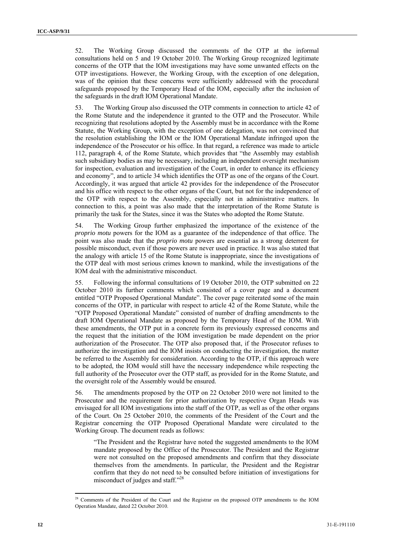52. The Working Group discussed the comments of the OTP at the informal consultations held on 5 and 19 October 2010. The Working Group recognized legitimate concerns of the OTP that the IOM investigations may have some unwanted effects on the OTP investigations. However, the Working Group, with the exception of one delegation, was of the opinion that these concerns were sufficiently addressed with the procedural safeguards proposed by the Temporary Head of the IOM, especially after the inclusion of the safeguards in the draft IOM Operational Mandate.

53. The Working Group also discussed the OTP comments in connection to article 42 of the Rome Statute and the independence it granted to the OTP and the Prosecutor. While recognizing that resolutions adopted by the Assembly must be in accordance with the Rome Statute, the Working Group, with the exception of one delegation, was not convinced that the resolution establishing the IOM or the IOM Operational Mandate infringed upon the independence of the Prosecutor or his office. In that regard, a reference was made to article 112, paragraph 4, of the Rome Statute, which provides that "the Assembly may establish such subsidiary bodies as may be necessary, including an independent oversight mechanism for inspection, evaluation and investigation of the Court, in order to enhance its efficiency and economy", and to article 34 which identifies the OTP as one of the organs of the Court. Accordingly, it was argued that article 42 provides for the independence of the Prosecutor and his office with respect to the other organs of the Court, but not for the independence of the OTP with respect to the Assembly, especially not in administrative matters. In connection to this, a point was also made that the interpretation of the Rome Statute is primarily the task for the States, since it was the States who adopted the Rome Statute.

54. The Working Group further emphasized the importance of the existence of the *proprio motu* powers for the IOM as a guarantee of the independence of that office. The point was also made that the *proprio motu* powers are essential as a strong deterrent for possible misconduct, even if those powers are never used in practice. It was also stated that the analogy with article 15 of the Rome Statute is inappropriate, since the investigations of the OTP deal with most serious crimes known to mankind, while the investigations of the IOM deal with the administrative misconduct.

55. Following the informal consultations of 19 October 2010, the OTP submitted on 22 October 2010 its further comments which consisted of a cover page and a document entitled "OTP Proposed Operational Mandate". The cover page reiterated some of the main concerns of the OTP, in particular with respect to article 42 of the Rome Statute, while the "OTP Proposed Operational Mandate" consisted of number of drafting amendments to the draft IOM Operational Mandate as proposed by the Temporary Head of the IOM. With these amendments, the OTP put in a concrete form its previously expressed concerns and the request that the initiation of the IOM investigation be made dependent on the prior authorization of the Prosecutor. The OTP also proposed that, if the Prosecutor refuses to authorize the investigation and the IOM insists on conducting the investigation, the matter be referred to the Assembly for consideration. According to the OTP, if this approach were to be adopted, the IOM would still have the necessary independence while respecting the full authority of the Prosecutor over the OTP staff, as provided for in the Rome Statute, and the oversight role of the Assembly would be ensured.

56. The amendments proposed by the OTP on 22 October 2010 were not limited to the Prosecutor and the requirement for prior authorization by respective Organ Heads was envisaged for all IOM investigations into the staff of the OTP, as well as of the other organs of the Court. On 25 October 2010, the comments of the President of the Court and the Registrar concerning the OTP Proposed Operational Mandate were circulated to the Working Group. The document reads as follows:

"The President and the Registrar have noted the suggested amendments to the IOM mandate proposed by the Office of the Prosecutor. The President and the Registrar were not consulted on the proposed amendments and confirm that they dissociate themselves from the amendments. In particular, the President and the Registrar confirm that they do not need to be consulted before initiation of investigations for misconduct of judges and staff."28

<sup>&</sup>lt;sup>28</sup> Comments of the President of the Court and the Registrar on the proposed OTP amendments to the IOM Operation Mandate, dated 22 October 2010.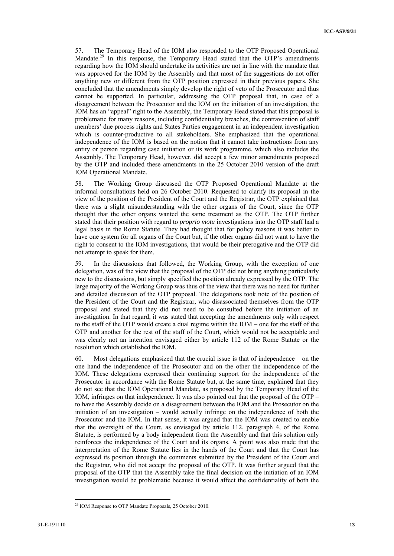57. The Temporary Head of the IOM also responded to the OTP Proposed Operational Mandate.<sup>29</sup> In this response, the Temporary Head stated that the OTP's amendments regarding how the IOM should undertake its activities are not in line with the mandate that was approved for the IOM by the Assembly and that most of the suggestions do not offer anything new or different from the OTP position expressed in their previous papers. She concluded that the amendments simply develop the right of veto of the Prosecutor and thus cannot be supported. In particular, addressing the OTP proposal that, in case of a disagreement between the Prosecutor and the IOM on the initiation of an investigation, the IOM has an "appeal" right to the Assembly, the Temporary Head stated that this proposal is problematic for many reasons, including confidentiality breaches, the contravention of staff members' due process rights and States Parties engagement in an independent investigation which is counter-productive to all stakeholders. She emphasized that the operational independence of the IOM is based on the notion that it cannot take instructions from any entity or person regarding case initiation or its work programme, which also includes the Assembly. The Temporary Head, however, did accept a few minor amendments proposed by the OTP and included these amendments in the 25 October 2010 version of the draft IOM Operational Mandate.

58. The Working Group discussed the OTP Proposed Operational Mandate at the informal consultations held on 26 October 2010. Requested to clarify its proposal in the view of the position of the President of the Court and the Registrar, the OTP explained that there was a slight misunderstanding with the other organs of the Court, since the OTP thought that the other organs wanted the same treatment as the OTP. The OTP further stated that their position with regard to *proprio motu* investigations into the OTP staff had a legal basis in the Rome Statute. They had thought that for policy reasons it was better to have one system for all organs of the Court but, if the other organs did not want to have the right to consent to the IOM investigations, that would be their prerogative and the OTP did not attempt to speak for them.

59. In the discussions that followed, the Working Group, with the exception of one delegation, was of the view that the proposal of the OTP did not bring anything particularly new to the discussions, but simply specified the position already expressed by the OTP. The large majority of the Working Group was thus of the view that there was no need for further and detailed discussion of the OTP proposal. The delegations took note of the position of the President of the Court and the Registrar, who disassociated themselves from the OTP proposal and stated that they did not need to be consulted before the initiation of an investigation. In that regard, it was stated that accepting the amendments only with respect to the staff of the OTP would create a dual regime within the IOM – one for the staff of the OTP and another for the rest of the staff of the Court, which would not be acceptable and was clearly not an intention envisaged either by article 112 of the Rome Statute or the resolution which established the IOM.

60. Most delegations emphasized that the crucial issue is that of independence – on the one hand the independence of the Prosecutor and on the other the independence of the IOM. These delegations expressed their continuing support for the independence of the Prosecutor in accordance with the Rome Statute but, at the same time, explained that they do not see that the IOM Operational Mandate, as proposed by the Temporary Head of the IOM, infringes on that independence. It was also pointed out that the proposal of the OTP – to have the Assembly decide on a disagreement between the IOM and the Prosecutor on the initiation of an investigation – would actually infringe on the independence of both the Prosecutor and the IOM. In that sense, it was argued that the IOM was created to enable that the oversight of the Court, as envisaged by article 112, paragraph 4, of the Rome Statute, is performed by a body independent from the Assembly and that this solution only reinforces the independence of the Court and its organs. A point was also made that the interpretation of the Rome Statute lies in the hands of the Court and that the Court has expressed its position through the comments submitted by the President of the Court and the Registrar, who did not accept the proposal of the OTP. It was further argued that the proposal of the OTP that the Assembly take the final decision on the initiation of an IOM investigation would be problematic because it would affect the confidentiality of both the

<sup>29</sup> IOM Response to OTP Mandate Proposals, 25 October 2010.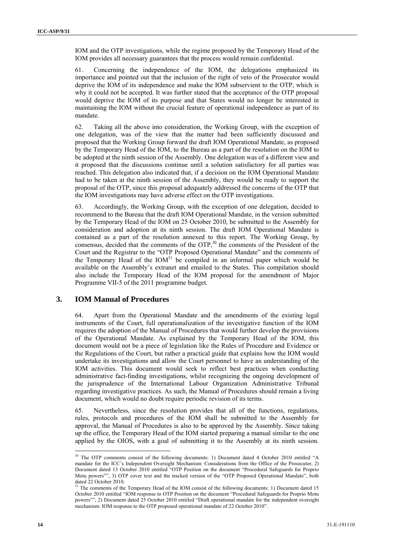IOM and the OTP investigations, while the regime proposed by the Temporary Head of the IOM provides all necessary guarantees that the process would remain confidential.

61. Concerning the independence of the IOM, the delegations emphasized its importance and pointed out that the inclusion of the right of veto of the Prosecutor would deprive the IOM of its independence and make the IOM subservient to the OTP, which is why it could not be accepted. It was further stated that the acceptance of the OTP proposal would deprive the IOM of its purpose and that States would no longer be interested in maintaining the IOM without the crucial feature of operational independence as part of its mandate.

62. Taking all the above into consideration, the Working Group, with the exception of one delegation, was of the view that the matter had been sufficiently discussed and proposed that the Working Group forward the draft IOM Operational Mandate, as proposed by the Temporary Head of the IOM, to the Bureau as a part of the resolution on the IOM to be adopted at the ninth session of the Assembly. One delegation was of a different view and it proposed that the discussions continue until a solution satisfactory for all parties was reached. This delegation also indicated that, if a decision on the IOM Operational Mandate had to be taken at the ninth session of the Assembly, they would be ready to support the proposal of the OTP, since this proposal adequately addressed the concerns of the OTP that the IOM investigations may have adverse effect on the OTP investigations.

63. Accordingly, the Working Group, with the exception of one delegation, decided to recommend to the Bureau that the draft IOM Operational Mandate, in the version submitted by the Temporary Head of the IOM on 25 October 2010, be submitted to the Assembly for consideration and adoption at its ninth session. The draft IOM Operational Mandate is contained as a part of the resolution annexed to this report. The Working Group, by consensus, decided that the comments of the OTP,<sup>30</sup> the comments of the President of the Court and the Registrar to the "OTP Proposed Operational Mandate" and the comments of the Temporary Head of the  $IOM<sup>31</sup>$  be compiled in an informal paper which would be available on the Assembly's extranet and emailed to the States. This compilation should also include the Temporary Head of the IOM proposal for the amendment of Major Programme VII-5 of the 2011 programme budget.

#### **3. IOM Manual of Procedures**

64. Apart from the Operational Mandate and the amendments of the existing legal instruments of the Court, full operationalization of the investigative function of the IOM requires the adoption of the Manual of Procedures that would further develop the provisions of the Operational Mandate. As explained by the Temporary Head of the IOM, this document would not be a piece of legislation like the Rules of Procedure and Evidence or the Regulations of the Court, but rather a practical guide that explains how the IOM would undertake its investigations and allow the Court personnel to have an understanding of the IOM activities. This document would seek to reflect best practices when conducting administrative fact-finding investigations, whilst recognizing the ongoing development of the jurisprudence of the International Labour Organization Administrative Tribunal regarding investigative practices. As such, the Manual of Procedures should remain a living document, which would no doubt require periodic revision of its terms.

65. Nevertheless, since the resolution provides that all of the functions, regulations, rules, protocols and procedures of the IOM shall be submitted to the Assembly for approval, the Manual of Procedures is also to be approved by the Assembly. Since taking up the office, the Temporary Head of the IOM started preparing a manual similar to the one applied by the OIOS, with a goal of submitting it to the Assembly at its ninth session.

<sup>&</sup>lt;sup>30</sup> The OTP comments consist of the following documents: 1) Document dated 4 October 2010 entitled "A mandate for the ICC's Independent Oversight Mechanism: Considerations from the Office of the Prosecutor, 2) Document dated 13 October 2010 entitled "OTP Position on the document "Procedural Safeguards for Proprio Motu powers"", 3) OTP cover text and the tracked version of the "OTP Proposed Operational Mandate", both dated 22 October 2010.<br> $\frac{31 \text{ The arc}}{20 \text{ cm}}$ 

<sup>31</sup> The comments of the Temporary Head of the IOM consist of the following documents: 1) Document dated 15 October 2010 entitled "IOM response to OTP Position on the document "Procedural Safeguards for Proprio Motu powers"", 2) Document dated 25 October 2010 entitled "Draft operational mandate for the independent oversight mechanism: IOM response to the OTP proposed operational mandate of 22 October 2010".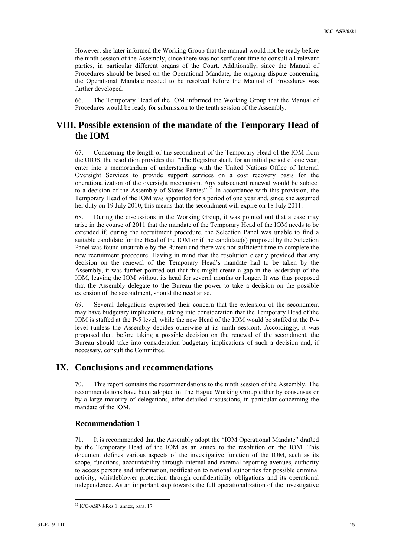However, she later informed the Working Group that the manual would not be ready before the ninth session of the Assembly, since there was not sufficient time to consult all relevant parties, in particular different organs of the Court. Additionally, since the Manual of Procedures should be based on the Operational Mandate, the ongoing dispute concerning the Operational Mandate needed to be resolved before the Manual of Procedures was further developed.

66. The Temporary Head of the IOM informed the Working Group that the Manual of Procedures would be ready for submission to the tenth session of the Assembly.

## **VIII. Possible extension of the mandate of the Temporary Head of the IOM**

67. Concerning the length of the secondment of the Temporary Head of the IOM from the OIOS, the resolution provides that "The Registrar shall, for an initial period of one year, enter into a memorandum of understanding with the United Nations Office of Internal Oversight Services to provide support services on a cost recovery basis for the operationalization of the oversight mechanism. Any subsequent renewal would be subject to a decision of the Assembly of States Parties".<sup>32</sup> In accordance with this provision, the Temporary Head of the IOM was appointed for a period of one year and, since she assumed her duty on 19 July 2010, this means that the secondment will expire on 18 July 2011.

68. During the discussions in the Working Group, it was pointed out that a case may arise in the course of 2011 that the mandate of the Temporary Head of the IOM needs to be extended if, during the recruitment procedure, the Selection Panel was unable to find a suitable candidate for the Head of the IOM or if the candidate(s) proposed by the Selection Panel was found unsuitable by the Bureau and there was not sufficient time to complete the new recruitment procedure. Having in mind that the resolution clearly provided that any decision on the renewal of the Temporary Head's mandate had to be taken by the Assembly, it was further pointed out that this might create a gap in the leadership of the IOM, leaving the IOM without its head for several months or longer. It was thus proposed that the Assembly delegate to the Bureau the power to take a decision on the possible extension of the secondment, should the need arise.

69. Several delegations expressed their concern that the extension of the secondment may have budgetary implications, taking into consideration that the Temporary Head of the IOM is staffed at the P-5 level, while the new Head of the IOM would be staffed at the P-4 level (unless the Assembly decides otherwise at its ninth session). Accordingly, it was proposed that, before taking a possible decision on the renewal of the secondment, the Bureau should take into consideration budgetary implications of such a decision and, if necessary, consult the Committee.

## **IX. Conclusions and recommendations**

70. This report contains the recommendations to the ninth session of the Assembly. The recommendations have been adopted in The Hague Working Group either by consensus or by a large majority of delegations, after detailed discussions, in particular concerning the mandate of the IOM.

#### **Recommendation 1**

71. It is recommended that the Assembly adopt the "IOM Operational Mandate" drafted by the Temporary Head of the IOM as an annex to the resolution on the IOM. This document defines various aspects of the investigative function of the IOM, such as its scope, functions, accountability through internal and external reporting avenues, authority to access persons and information, notification to national authorities for possible criminal activity, whistleblower protection through confidentiality obligations and its operational independence. As an important step towards the full operationalization of the investigative

 $\overline{a}$ 32 ICC-ASP/8/Res.1, annex, para. 17.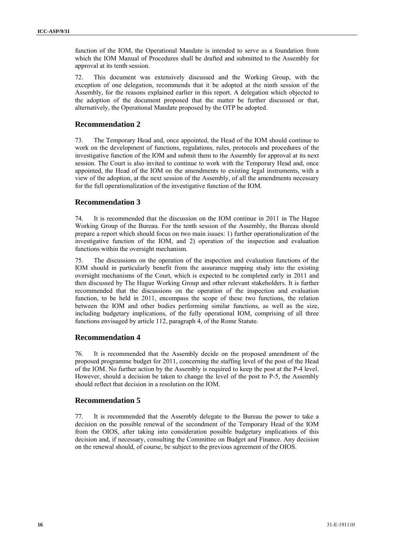function of the IOM, the Operational Mandate is intended to serve as a foundation from which the IOM Manual of Procedures shall be drafted and submitted to the Assembly for approval at its tenth session.

72. This document was extensively discussed and the Working Group, with the exception of one delegation, recommends that it be adopted at the ninth session of the Assembly, for the reasons explained earlier in this report. A delegation which objected to the adoption of the document proposed that the matter be further discussed or that, alternatively, the Operational Mandate proposed by the OTP be adopted.

#### **Recommendation 2**

73. The Temporary Head and, once appointed, the Head of the IOM should continue to work on the development of functions, regulations, rules, protocols and procedures of the investigative function of the IOM and submit them to the Assembly for approval at its next session. The Court is also invited to continue to work with the Temporary Head and, once appointed, the Head of the IOM on the amendments to existing legal instruments, with a view of the adoption, at the next session of the Assembly, of all the amendments necessary for the full operationalization of the investigative function of the IOM.

#### **Recommendation 3**

74. It is recommended that the discussion on the IOM continue in 2011 in The Hague Working Group of the Bureau. For the tenth session of the Assembly, the Bureau should prepare a report which should focus on two main issues: 1) further operationalization of the investigative function of the IOM, and 2) operation of the inspection and evaluation functions within the oversight mechanism.

75. The discussions on the operation of the inspection and evaluation functions of the IOM should in particularly benefit from the assurance mapping study into the existing oversight mechanisms of the Court, which is expected to be completed early in 2011 and then discussed by The Hague Working Group and other relevant stakeholders. It is further recommended that the discussions on the operation of the inspection and evaluation function, to be held in 2011, encompass the scope of these two functions, the relation between the IOM and other bodies performing similar functions, as well as the size, including budgetary implications, of the fully operational IOM, comprising of all three functions envisaged by article 112, paragraph 4, of the Rome Statute.

#### **Recommendation 4**

76. It is recommended that the Assembly decide on the proposed amendment of the proposed programme budget for 2011, concerning the staffing level of the post of the Head of the IOM. No further action by the Assembly is required to keep the post at the P-4 level. However, should a decision be taken to change the level of the post to P-5, the Assembly should reflect that decision in a resolution on the IOM.

#### **Recommendation 5**

77. It is recommended that the Assembly delegate to the Bureau the power to take a decision on the possible renewal of the secondment of the Temporary Head of the IOM from the OIOS, after taking into consideration possible budgetary implications of this decision and, if necessary, consulting the Committee on Budget and Finance. Any decision on the renewal should, of course, be subject to the previous agreement of the OIOS.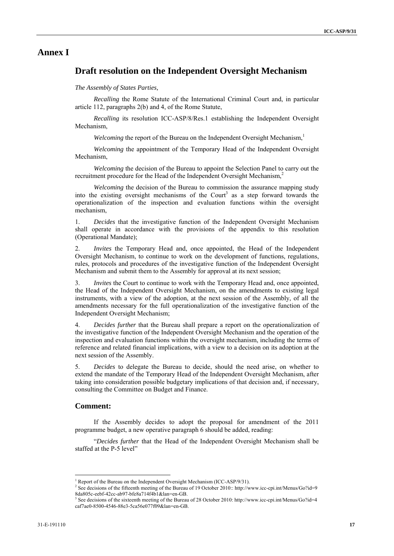## **Annex I**

## **Draft resolution on the Independent Oversight Mechanism**

*The Assembly of States Parties,* 

*Recalling* the Rome Statute of the International Criminal Court and, in particular article 112, paragraphs 2(b) and 4, of the Rome Statute,

*Recalling* its resolution ICC-ASP/8/Res.1 establishing the Independent Oversight Mechanism,

*Welcoming* the report of the Bureau on the Independent Oversight Mechanism.<sup>1</sup>

*Welcoming* the appointment of the Temporary Head of the Independent Oversight Mechanism,

*Welcoming* the decision of the Bureau to appoint the Selection Panel to carry out the recruitment procedure for the Head of the Independent Oversight Mechanism,<sup>2</sup>

*Welcoming* the decision of the Bureau to commission the assurance mapping study into the existing oversight mechanisms of the Court<sup>3</sup> as a step forward towards the operationalization of the inspection and evaluation functions within the oversight mechanism,

1. *Decides* that the investigative function of the Independent Oversight Mechanism shall operate in accordance with the provisions of the appendix to this resolution (Operational Mandate);

*Invites* the Temporary Head and, once appointed, the Head of the Independent Oversight Mechanism, to continue to work on the development of functions, regulations, rules, protocols and procedures of the investigative function of the Independent Oversight Mechanism and submit them to the Assembly for approval at its next session;

3. *Invites* the Court to continue to work with the Temporary Head and, once appointed, the Head of the Independent Oversight Mechanism, on the amendments to existing legal instruments, with a view of the adoption, at the next session of the Assembly, of all the amendments necessary for the full operationalization of the investigative function of the Independent Oversight Mechanism;

4. *Decides further* that the Bureau shall prepare a report on the operationalization of the investigative function of the Independent Oversight Mechanism and the operation of the inspection and evaluation functions within the oversight mechanism, including the terms of reference and related financial implications, with a view to a decision on its adoption at the next session of the Assembly.

5. *Decides* to delegate the Bureau to decide, should the need arise, on whether to extend the mandate of the Temporary Head of the Independent Oversight Mechanism, after taking into consideration possible budgetary implications of that decision and, if necessary, consulting the Committee on Budget and Finance.

#### **Comment:**

 $\overline{a}$ 

If the Assembly decides to adopt the proposal for amendment of the 2011 programme budget, a new operative paragraph 6 should be added, reading:

"*Decides further* that the Head of the Independent Oversight Mechanism shall be staffed at the P-5 level"

<sup>1</sup>

<sup>&</sup>lt;sup>1</sup> Report of the Bureau on the Independent Oversight Mechanism (ICC-ASP/9/31).<br><sup>2</sup> See decisions of the fifteenth meeting of the Bureau of 19 October 2010:: http://www.icc-cpi.int/Menus/Go?id=9 8da805c-eebf-42cc-ab97-bfe8a714f4b1&lan=en-GB.

<sup>&</sup>lt;sup>3</sup> See decisions of the sixteenth meeting of the Bureau of 28 October 2010: http://www.icc-cpi.int/Menus/Go?id=4 caf7ae0-8500-4546-88e3-5ca56e077f09&lan=en-GB.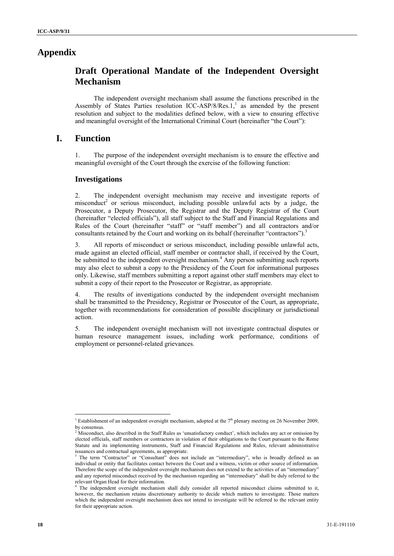## **Appendix**

# **Draft Operational Mandate of the Independent Oversight Mechanism**

The independent oversight mechanism shall assume the functions prescribed in the Assembly of States Parties resolution ICC-ASP/8/Res.1, $\frac{1}{1}$  as amended by the present resolution and subject to the modalities defined below, with a view to ensuring effective and meaningful oversight of the International Criminal Court (hereinafter "the Court"):

## **I. Function**

1. The purpose of the independent oversight mechanism is to ensure the effective and meaningful oversight of the Court through the exercise of the following function:

#### **Investigations**

2. The independent oversight mechanism may receive and investigate reports of misconduct<sup>2</sup> or serious misconduct, including possible unlawful acts by a judge, the Prosecutor, a Deputy Prosecutor, the Registrar and the Deputy Registrar of the Court (hereinafter "elected officials"), all staff subject to the Staff and Financial Regulations and Rules of the Court (hereinafter "staff" or "staff member") and all contractors and/or consultants retained by the Court and working on its behalf (hereinafter "contractors").<sup>3</sup>

3. All reports of misconduct or serious misconduct, including possible unlawful acts, made against an elected official, staff member or contractor shall, if received by the Court, be submitted to the independent oversight mechanism.<sup>4</sup> Any person submitting such reports may also elect to submit a copy to the Presidency of the Court for informational purposes only. Likewise, staff members submitting a report against other staff members may elect to submit a copy of their report to the Prosecutor or Registrar, as appropriate.

4. The results of investigations conducted by the independent oversight mechanism shall be transmitted to the Presidency, Registrar or Prosecutor of the Court, as appropriate, together with recommendations for consideration of possible disciplinary or jurisdictional action.

5. The independent oversight mechanism will not investigate contractual disputes or human resource management issues, including work performance, conditions of employment or personnel-related grievances.

 $\overline{a}$ <sup>1</sup> Establishment of an independent oversight mechanism, adopted at the  $7<sup>th</sup>$  plenary meeting on 26 November 2009, by consensus.<br><sup>2</sup> Missondust

Misconduct, also described in the Staff Rules as 'unsatisfactory conduct', which includes any act or omission by elected officials, staff members or contractors in violation of their obligations to the Court pursuant to the Rome Statute and its implementing instruments, Staff and Financial Regulations and Rules, relevant administrative issuances and contractual agreements, as appropriate.

<sup>3</sup> The term "Contractor" or "Consultant" does not include an "intermediary", who is broadly defined as an individual or entity that facilitates contact between the Court and a witness, victim or other source of information. Therefore the scope of the independent oversight mechanism does not extend to the activities of an "intermediary" and any reported misconduct received by the mechanism regarding an "intermediary" shall be duly referred to the relevant Organ Head for their information.

<sup>&</sup>lt;sup>4</sup> The independent oversight mechanism shall duly consider all reported misconduct claims submitted to it, however, the mechanism retains discretionary authority to decide which matters to investigate. Those matters which the independent oversight mechanism does not intend to investigate will be referred to the relevant entity for their appropriate action.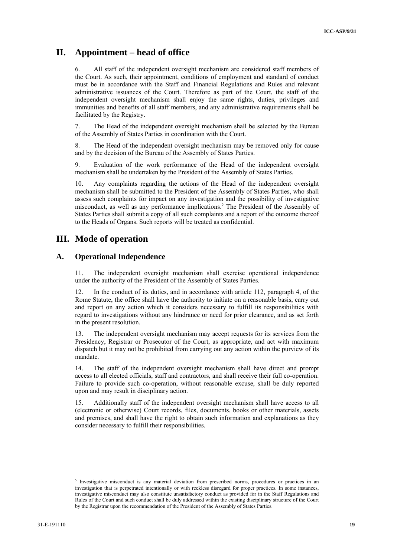## **II. Appointment – head of office**

6. All staff of the independent oversight mechanism are considered staff members of the Court. As such, their appointment, conditions of employment and standard of conduct must be in accordance with the Staff and Financial Regulations and Rules and relevant administrative issuances of the Court. Therefore as part of the Court, the staff of the independent oversight mechanism shall enjoy the same rights, duties, privileges and immunities and benefits of all staff members, and any administrative requirements shall be facilitated by the Registry.

7. The Head of the independent oversight mechanism shall be selected by the Bureau of the Assembly of States Parties in coordination with the Court.

8. The Head of the independent oversight mechanism may be removed only for cause and by the decision of the Bureau of the Assembly of States Parties.

9. Evaluation of the work performance of the Head of the independent oversight mechanism shall be undertaken by the President of the Assembly of States Parties.

10. Any complaints regarding the actions of the Head of the independent oversight mechanism shall be submitted to the President of the Assembly of States Parties, who shall assess such complaints for impact on any investigation and the possibility of investigative misconduct, as well as any performance implications.<sup>5</sup> The President of the Assembly of States Parties shall submit a copy of all such complaints and a report of the outcome thereof to the Heads of Organs. Such reports will be treated as confidential.

### **III. Mode of operation**

#### **A. Operational Independence**

11. The independent oversight mechanism shall exercise operational independence under the authority of the President of the Assembly of States Parties.

12. In the conduct of its duties, and in accordance with article 112, paragraph 4, of the Rome Statute, the office shall have the authority to initiate on a reasonable basis, carry out and report on any action which it considers necessary to fulfill its responsibilities with regard to investigations without any hindrance or need for prior clearance, and as set forth in the present resolution.

13. The independent oversight mechanism may accept requests for its services from the Presidency, Registrar or Prosecutor of the Court, as appropriate, and act with maximum dispatch but it may not be prohibited from carrying out any action within the purview of its mandate.

14. The staff of the independent oversight mechanism shall have direct and prompt access to all elected officials, staff and contractors, and shall receive their full co-operation. Failure to provide such co-operation, without reasonable excuse, shall be duly reported upon and may result in disciplinary action.

15. Additionally staff of the independent oversight mechanism shall have access to all (electronic or otherwise) Court records, files, documents, books or other materials, assets and premises, and shall have the right to obtain such information and explanations as they consider necessary to fulfill their responsibilities.

<sup>5</sup> Investigative misconduct is any material deviation from prescribed norms, procedures or practices in an investigation that is perpetrated intentionally or with reckless disregard for proper practices. In some instances, investigative misconduct may also constitute unsatisfactory conduct as provided for in the Staff Regulations and Rules of the Court and such conduct shall be duly addressed within the existing disciplinary structure of the Court by the Registrar upon the recommendation of the President of the Assembly of States Parties.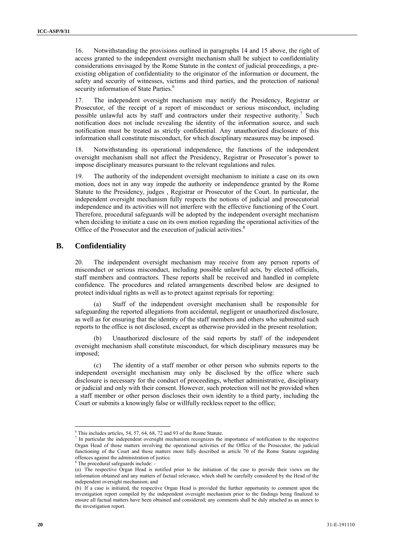16. Notwithstanding the provisions outlined in paragraphs 14 and 15 above, the right of access granted to the independent oversight mechanism shall be subject to confidentiality considerations envisaged by the Rome Statute in the context of judicial proceedings, a preexisting obligation of confidentiality to the originator of the information or document, the safety and security of witnesses, victims and third parties, and the protection of national security information of State Parties.<sup>6</sup>

17. The independent oversight mechanism may notify the Presidency, Registrar or Prosecutor, of the receipt of a report of misconduct or serious misconduct, including possible unlawful acts by staff and contractors under their respective authority.<sup>7</sup> Such notification does not include revealing the identity of the information source, and such notification must be treated as strictly confidential. Any unauthorized disclosure of this information shall constitute misconduct, for which disciplinary measures may be imposed.

18. Notwithstanding its operational independence, the functions of the independent oversight mechanism shall not affect the Presidency, Registrar or Prosecutor's power to impose disciplinary measures pursuant to the relevant regulations and rules.

19. The authority of the independent oversight mechanism to initiate a case on its own motion, does not in any way impede the authority or independence granted by the Rome Statute to the Presidency, judges , Registrar or Prosecutor of the Court. In particular, the independent oversight mechanism fully respects the notions of judicial and prosecutorial independence and its activities will not interfere with the effective functioning of the Court. Therefore, procedural safeguards will be adopted by the independent oversight mechanism when deciding to initiate a case on its own motion regarding the operational activities of the Office of the Prosecutor and the execution of judicial activities.<sup>8</sup>

#### **B. Confidentiality**

20. The independent oversight mechanism may receive from any person reports of misconduct or serious misconduct, including possible unlawful acts, by elected officials, staff members and contractors. These reports shall be received and handled in complete confidence. The procedures and related arrangements described below are designed to protect individual rights as well as to protect against reprisals for reporting:

(a) Staff of the independent oversight mechanism shall be responsible for safeguarding the reported allegations from accidental, negligent or unauthorized disclosure, as well as for ensuring that the identity of the staff members and others who submitted such reports to the office is not disclosed, except as otherwise provided in the present resolution;

Unauthorized disclosure of the said reports by staff of the independent oversight mechanism shall constitute misconduct, for which disciplinary measures may be imposed;

(c) The identity of a staff member or other person who submits reports to the independent oversight mechanism may only be disclosed by the office where such disclosure is necessary for the conduct of proceedings, whether administrative, disciplinary or judicial and only with their consent. However, such protection will not be provided when a staff member or other person discloses their own identity to a third party, including the Court or submits a knowingly false or willfully reckless report to the office;

<sup>6</sup> This includes articles, 54, 57, 64, 68, 72 and 93 of the Rome Statute.

<sup>&</sup>lt;sup>7</sup> In particular the independent oversight mechanism recognizes the importance of notification to the respective Organ Head of those matters involving the operational activities of the Office of the Prosecutor, the judicial functioning of the Court and those matters more fully described in article 70 of the Rome Statute regarding offences against the administration of justice.<br><sup>8</sup> The procedural safeguards include:

The procedural safeguards include: -

<sup>(</sup>a) The respective Organ Head is notified prior to the initiation of the case to provide their views on the information obtained and any matters of factual relevance, which shall be carefully considered by the Head of the independent oversight mechanism; and

<sup>(</sup>b) If a case is initiated, the respective Organ Head is provided the further opportunity to comment upon the investigation report compiled by the independent oversight mechanism prior to the findings being finalized to ensure all factual matters have been obtained and considered; any comments shall be duly attached as an annex to the investigation report.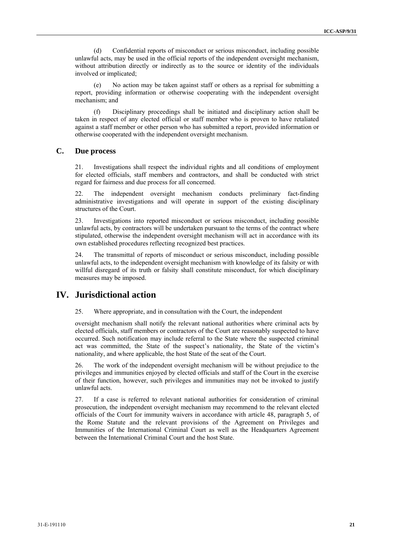(d) Confidential reports of misconduct or serious misconduct, including possible unlawful acts, may be used in the official reports of the independent oversight mechanism, without attribution directly or indirectly as to the source or identity of the individuals involved or implicated;

(e) No action may be taken against staff or others as a reprisal for submitting a report, providing information or otherwise cooperating with the independent oversight mechanism; and

(f) Disciplinary proceedings shall be initiated and disciplinary action shall be taken in respect of any elected official or staff member who is proven to have retaliated against a staff member or other person who has submitted a report, provided information or otherwise cooperated with the independent oversight mechanism.

#### **C. Due process**

21. Investigations shall respect the individual rights and all conditions of employment for elected officials, staff members and contractors, and shall be conducted with strict regard for fairness and due process for all concerned.

22. The independent oversight mechanism conducts preliminary fact-finding administrative investigations and will operate in support of the existing disciplinary structures of the Court.

Investigations into reported misconduct or serious misconduct, including possible unlawful acts, by contractors will be undertaken pursuant to the terms of the contract where stipulated, otherwise the independent oversight mechanism will act in accordance with its own established procedures reflecting recognized best practices.

24. The transmittal of reports of misconduct or serious misconduct, including possible unlawful acts, to the independent oversight mechanism with knowledge of its falsity or with willful disregard of its truth or falsity shall constitute misconduct, for which disciplinary measures may be imposed.

### **IV. Jurisdictional action**

25. Where appropriate, and in consultation with the Court, the independent

oversight mechanism shall notify the relevant national authorities where criminal acts by elected officials, staff members or contractors of the Court are reasonably suspected to have occurred. Such notification may include referral to the State where the suspected criminal act was committed, the State of the suspect's nationality, the State of the victim's nationality, and where applicable, the host State of the seat of the Court.

26. The work of the independent oversight mechanism will be without prejudice to the privileges and immunities enjoyed by elected officials and staff of the Court in the exercise of their function, however, such privileges and immunities may not be invoked to justify unlawful acts.

27. If a case is referred to relevant national authorities for consideration of criminal prosecution, the independent oversight mechanism may recommend to the relevant elected officials of the Court for immunity waivers in accordance with article 48, paragraph 5, of the Rome Statute and the relevant provisions of the Agreement on Privileges and Immunities of the International Criminal Court as well as the Headquarters Agreement between the International Criminal Court and the host State.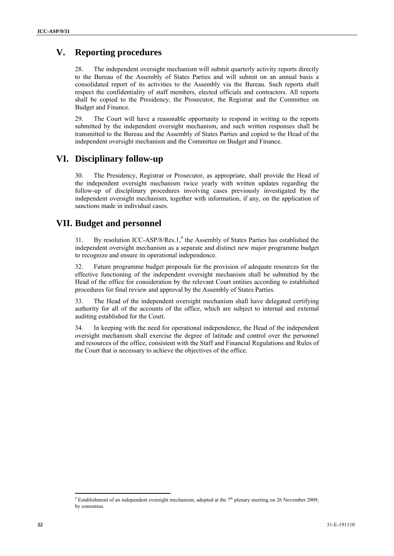# **V. Reporting procedures**

28. The independent oversight mechanism will submit quarterly activity reports directly to the Bureau of the Assembly of States Parties and will submit on an annual basis a consolidated report of its activities to the Assembly via the Bureau. Such reports shall respect the confidentiality of staff members, elected officials and contractors. All reports shall be copied to the Presidency, the Prosecutor, the Registrar and the Committee on Budget and Finance.

29. The Court will have a reasonable opportunity to respond in writing to the reports submitted by the independent oversight mechanism, and such written responses shall be transmitted to the Bureau and the Assembly of States Parties and copied to the Head of the independent oversight mechanism and the Committee on Budget and Finance.

# **VI. Disciplinary follow-up**

30. The Presidency, Registrar or Prosecutor, as appropriate, shall provide the Head of the independent oversight mechanism twice yearly with written updates regarding the follow-up of disciplinary procedures involving cases previously investigated by the independent oversight mechanism, together with information, if any, on the application of sanctions made in individual cases.

# **VII. Budget and personnel**

31. By resolution ICC-ASP/8/Res.1,<sup>9</sup> the Assembly of States Parties has established the independent oversight mechanism as a separate and distinct new major programme budget to recognize and ensure its operational independence.

32. Future programme budget proposals for the provision of adequate resources for the effective functioning of the independent oversight mechanism shall be submitted by the Head of the office for consideration by the relevant Court entities according to established procedures for final review and approval by the Assembly of States Parties.

33. The Head of the independent oversight mechanism shall have delegated certifying authority for all of the accounts of the office, which are subject to internal and external auditing established for the Court.

34. In keeping with the need for operational independence, the Head of the independent oversight mechanism shall exercise the degree of latitude and control over the personnel and resources of the office, consistent with the Staff and Financial Regulations and Rules of the Court that is necessary to achieve the objectives of the office.

<sup>&</sup>lt;sup>9</sup> Establishment of an independent oversight mechanism, adopted at the  $7<sup>th</sup>$  plenary meeting on 26 November 2009, by consensus.